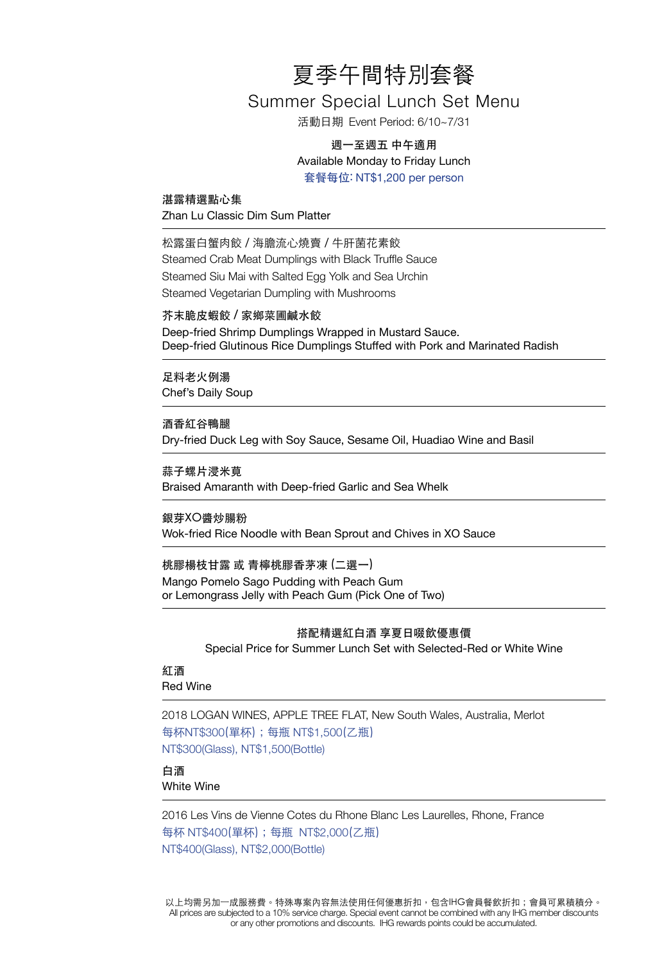# 夏季午間特別套餐

# Summer Special Lunch Set Menu

活動日期 Event Period: 6/10~7/31

## 週一至週五 中午適用 Available Monday to Friday Lunch 套餐每位: NT\$1,200 per person

湛露精選點心集 Zhan Lu Classic Dim Sum Platter

松露蛋白蟹肉餃 / 海膽流心燒賣 / 牛肝菌花素餃 Steamed Crab Meat Dumplings with Black Truffle Sauce Steamed Siu Mai with Salted Egg Yolk and Sea Urchin Steamed Vegetarian Dumpling with Mushrooms

芥末脆皮蝦餃 / 家鄉菜圃鹹水餃

Deep-fried Shrimp Dumplings Wrapped in Mustard Sauce. Deep-fried Glutinous Rice Dumplings Stuffed with Pork and Marinated Radish

足料老火例湯 Chef's Daily Soup

酒香紅谷鴨腿 Dry-fried Duck Leg with Soy Sauce, Sesame Oil, Huadiao Wine and Basil

蒜子螺片浸米莧 Braised Amaranth with Deep-fried Garlic and Sea Whelk

銀芽XO醬炒腸粉 Wok-fried Rice Noodle with Bean Sprout and Chives in XO Sauce

桃膠楊枝甘露 或 青檸桃膠香茅凍 (二選一) Mango Pomelo Sago Pudding with Peach Gum or Lemongrass Jelly with Peach Gum (Pick One of Two)

#### 搭配精選紅白酒 享夏日啜飲優惠價

Special Price for Summer Lunch Set with Selected-Red or White Wine

紅酒 Red Wine

2018 LOGAN WINES, APPLE TREE FLAT, New South Wales, Australia, Merlot 每杯NT\$300(單杯);每瓶 NT\$1,500(乙瓶) NT\$300(Glass), NT\$1,500(Bottle)

白酒 White Wine

2016 Les Vins de Vienne Cotes du Rhone Blanc Les Laurelles, Rhone, France 每杯 NT\$400(單杯);每瓶 NT\$2,000(乙瓶) NT\$400(Glass), NT\$2,000(Bottle)

以上均需另加一成服務費。特殊專案內容無法使用任何優惠折扣,包含IHG會員餐飲折扣;會員可累積積分。 All prices are subjected to a 10% service charge. Special event cannot be combined with any IHG member discounts or any other promotions and discounts. IHG rewards points could be accumulated.